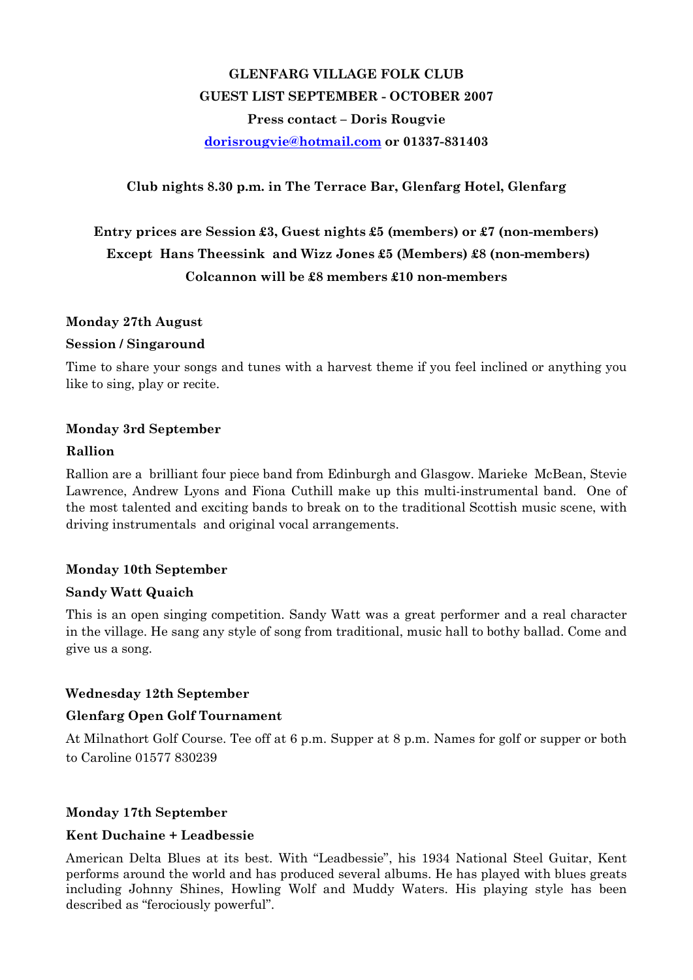# GLENFARG VILLAGE FOLK CLUB GUEST LIST SEPTEMBER - OCTOBER 2007 Press contact – Doris Rougvie dorisrougvie@hotmail.com or 01337-831403

## Club nights 8.30 p.m. in The Terrace Bar, Glenfarg Hotel, Glenfarg

## Entry prices are Session £3, Guest nights £5 (members) or £7 (non-members) Except Hans Theessink and Wizz Jones £5 (Members) £8 (non-members) Colcannon will be £8 members £10 non-members

## Monday 27th August

## Session / Singaround

Time to share your songs and tunes with a harvest theme if you feel inclined or anything you like to sing, play or recite.

## Monday 3rd September

## Rallion

Rallion are a brilliant four piece band from Edinburgh and Glasgow. Marieke McBean, Stevie Lawrence, Andrew Lyons and Fiona Cuthill make up this multi-instrumental band. One of the most talented and exciting bands to break on to the traditional Scottish music scene, with driving instrumentals and original vocal arrangements.

## Monday 10th September

## Sandy Watt Quaich

This is an open singing competition. Sandy Watt was a great performer and a real character in the village. He sang any style of song from traditional, music hall to bothy ballad. Come and give us a song.

## Wednesday 12th September

## Glenfarg Open Golf Tournament

At Milnathort Golf Course. Tee off at 6 p.m. Supper at 8 p.m. Names for golf or supper or both to Caroline 01577 830239

## Monday 17th September

## Kent Duchaine + Leadbessie

American Delta Blues at its best. With "Leadbessie", his 1934 National Steel Guitar, Kent performs around the world and has produced several albums. He has played with blues greats including Johnny Shines, Howling Wolf and Muddy Waters. His playing style has been described as "ferociously powerful".